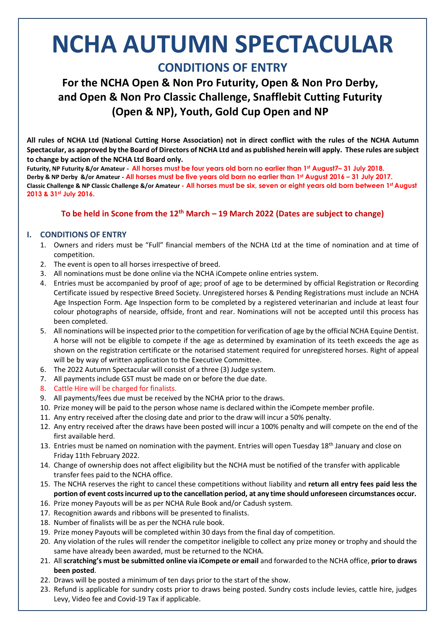# **NCHA AUTUMN SPECTACULAR CONDITIONS OF ENTRY**

**For the NCHA Open & Non Pro Futurity, Open & Non Pro Derby, and Open & Non Pro Classic Challenge, Snafflebit Cutting Futurity (Open & NP), Youth, Gold Cup Open and NP**

**All rules of NCHA Ltd (National Cutting Horse Association) not in direct conflict with the rules of the NCHA Autumn** Spectacular, as approved by the Board of Directors of NCHA Ltd and as published herein will apply. These rules are subject **to change by action of the NCHA Ltd Board only.**

Futurity, NP Futurity &/or Amateur - All horses must be four years old born no earlier than 1st August7-31 July 2018. Derby & NP Derby &/or Amateur - All horses must be five years old born no earlier than 1st August 2016 - 31 July 2017. **Classic Challenge & NP Classic Challenge &/or Amateur - All horses must be six, seven or eight years old born between 1st August 2013 & 31st July 2016.**

# **To be held in Scone from the 12th March – 19 March 2022 (Dates are subject to change)**

# **I. CONDITIONS OF ENTRY**

- 1. Owners and riders must be "Full" financial members of the NCHA Ltd at the time of nomination and at time of competition.
- 2. The event is open to all horses irrespective of breed.
- 3. All nominations must be done online via the NCHA iCompete online entries system.
- 4. Entries must be accompanied by proof of age; proof of age to be determined by official Registration or Recording Certificate issued by respective Breed Society. Unregistered horses & Pending Registrations must include an NCHA Age Inspection Form. Age Inspection form to be completed by a registered veterinarian and include at least four colour photographs of nearside, offside, front and rear. Nominations will not be accepted until this process has been completed.
- 5. All nominations will be inspected prior to the competition for verification of age by the official NCHA Equine Dentist. A horse will not be eligible to compete if the age as determined by examination of its teeth exceeds the age as shown on the registration certificate or the notarised statement required for unregistered horses. Right of appeal will be by way of written application to the Executive Committee.
- 6. The 2022 Autumn Spectacular will consist of a three (3) Judge system.
- 7. All payments include GST must be made on or before the due date.
- 8. Cattle Hire will be charged for finalists.
- 9. All payments/fees due must be received by the NCHA prior to the draws.
- 10. Prize money will be paid to the person whose name is declared within the iCompete member profile.
- 11. Any entry received after the closing date and prior to the draw will incur a 50% penalty.
- 12. Any entry received after the draws have been posted will incur a 100% penalty and will compete on the end of the first available herd.
- 13. Entries must be named on nomination with the payment. Entries will open Tuesday 18<sup>th</sup> January and close on Friday 11th February 2022.
- 14. Change of ownership does not affect eligibility but the NCHA must be notified of the transfer with applicable transfer fees paid to the NCHA office.
- 15. The NCHA reserves the right to cancel these competitions without liability and **return all entry fees paid less the portion of event costsincurred up to the cancellation period, at any time should unforeseen circumstances occur.**
- 16. Prize money Payouts will be as per NCHA Rule Book and/or Cadush system.
- 17. Recognition awards and ribbons will be presented to finalists.
- 18. Number of finalists will be as per the NCHA rule book.
- 19. Prize money Payouts will be completed within 30 days from the final day of competition.
- 20. Any violation of the rules will render the competitor ineligible to collect any prize money or trophy and should the same have already been awarded, must be returned to the NCHA.
- 21. All**scratching's must be submitted online via iCompete or email** and forwarded to the NCHA office, **prior to draws been posted**.
- 22. Draws will be posted a minimum of ten days prior to the start of the show.
- 23. Refund is applicable for sundry costs prior to draws being posted. Sundry costs include levies, cattle hire, judges Levy, Video fee and Covid-19 Tax if applicable.